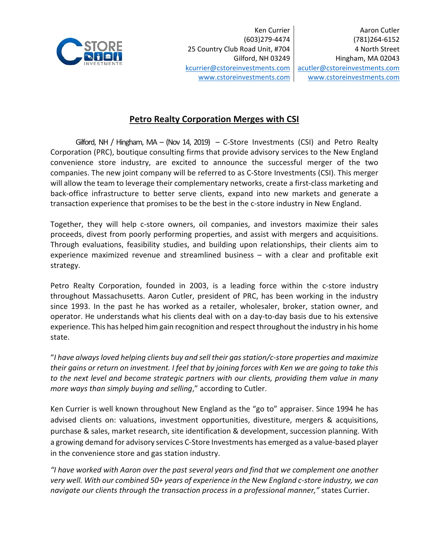

 Ken Currier (603)279‐4474 25 Country Club Road Unit, #704 Gilford, NH 03249 kcurrier@cstoreinvestments.com www.cstoreinvestments.com

## **Petro Realty Corporation Merges with CSI**

Gilford, NH / Hingham, MA –  $(Nov 14, 2019) - C$ -Store Investments  $(CSI)$  and Petro Realty Corporation (PRC), boutique consulting firms that provide advisory services to the New England convenience store industry, are excited to announce the successful merger of the two companies. The new joint company will be referred to as C‐Store Investments (CSI). This merger will allow the team to leverage their complementary networks, create a first-class marketing and back-office infrastructure to better serve clients, expand into new markets and generate a transaction experience that promises to be the best in the c-store industry in New England.

Together, they will help c-store owners, oil companies, and investors maximize their sales proceeds, divest from poorly performing properties, and assist with mergers and acquisitions. Through evaluations, feasibility studies, and building upon relationships, their clients aim to experience maximized revenue and streamlined business - with a clear and profitable exit strategy.

Petro Realty Corporation, founded in 2003, is a leading force within the c-store industry throughout Massachusetts. Aaron Cutler, president of PRC, has been working in the industry since 1993. In the past he has worked as a retailer, wholesaler, broker, station owner, and operator. He understands what his clients deal with on a day‐to‐day basis due to his extensive experience. This has helped him gain recognition and respect throughout the industry in his home state.

"*I have always loved helping clients buy and sell their gas station/c‐store properties and maximize their gains or return on investment. I feel that by joining forces with Ken we are going to take this to the next level and become strategic partners with our clients, providing them value in many more ways than simply buying and selling*," according to Cutler.

Ken Currier is well known throughout New England as the "go to" appraiser. Since 1994 he has advised clients on: valuations, investment opportunities, divestiture, mergers & acquisitions, purchase & sales, market research, site identification & development, succession planning. With a growing demand for advisory services C‐Store Investments has emerged as a value‐based player in the convenience store and gas station industry.

*"I have worked with Aaron over the past several years and find that we complement one another very well. With our combined 50+ years of experience in the New England c‐store industry, we can navigate our clients through the transaction process in a professional manner,"* states Currier.